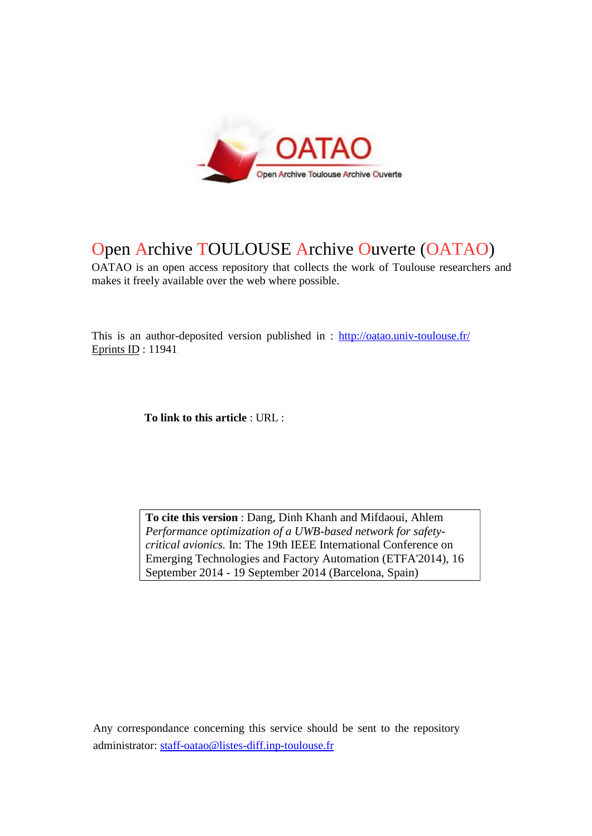

# Open Archive TOULOUSE Archive Ouverte (OATAO)

OATAO is an open access repository that collects the work of Toulouse researchers and makes it freely available over the web where possible.

This is an author-deposited version published in : http://oatao.univ-toulouse.fr/ Eprints ID : 11941

**To link to this article** : URL :

**To cite this version** : Dang, Dinh Khanh and Mifdaoui, Ahlem *Performance optimization of a UWB-based network for safetycritical avionics.* In: The 19th IEEE International Conference on Emerging Technologies and Factory Automation (ETFA'2014), 16 September 2014 - 19 September 2014 (Barcelona, Spain)

Any correspondance concerning this service should be sent to the repository administrator: [staff-oatao@listes-diff.inp-toulouse.fr](mailto:staff-oatao@listes-diff.inp-toulouse.fr)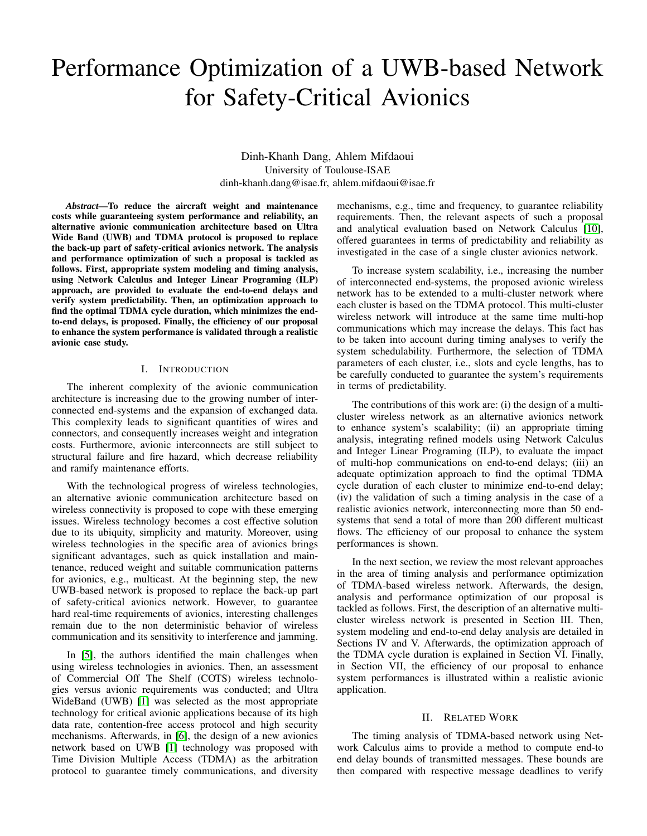# Performance Optimization of a UWB-based Network for Safety-Critical Avionics

Dinh-Khanh Dang, Ahlem Mifdaoui University of Toulouse-ISAE dinh-khanh.dang@isae.fr, ahlem.mifdaoui@isae.fr

*Abstract***—To reduce the aircraft weight and maintenance costs while guaranteeing system performance and reliability, an alternative avionic communication architecture based on Ultra Wide Band (UWB) and TDMA protocol is proposed to replace the back-up part of safety-critical avionics network. The analysis and performance optimization of such a proposal is tackled as follows. First, appropriate system modeling and timing analysis, using Network Calculus and Integer Linear Programing (ILP) approach, are provided to evaluate the end-to-end delays and verify system predictability. Then, an optimization approach to find the optimal TDMA cycle duration, which minimizes the endto-end delays, is proposed. Finally, the efficiency of our proposal to enhance the system performance is validated through a realistic avionic case study.**

# I. INTRODUCTION

The inherent complexity of the avionic communication architecture is increasing due to the growing number of interconnected end-systems and the expansion of exchanged data. This complexity leads to significant quantities of wires and connectors, and consequently increases weight and integration costs. Furthermore, avionic interconnects are still subject to structural failure and fire hazard, which decrease reliability and ramify maintenance efforts.

With the technological progress of wireless technologies, an alternative avionic communication architecture based on wireless connectivity is proposed to cope with these emerging issues. Wireless technology becomes a cost effective solution due to its ubiquity, simplicity and maturity. Moreover, using wireless technologies in the specific area of avionics brings significant advantages, such as quick installation and maintenance, reduced weight and suitable communication patterns for avionics, e.g., multicast. At the beginning step, the new UWB-based network is proposed to replace the back-up part of safety-critical avionics network. However, to guarantee hard real-time requirements of avionics, interesting challenges remain due to the non deterministic behavior of wireless communication and its sensitivity to interference and jamming.

In [\[5\]](#page-9-0), the authors identified the main challenges when using wireless technologies in avionics. Then, an assessment of Commercial Off The Shelf (COTS) wireless technologies versus avionic requirements was conducted; and Ultra WideBand (UWB) [\[1\]](#page-9-1) was selected as the most appropriate technology for critical avionic applications because of its high data rate, contention-free access protocol and high security mechanisms. Afterwards, in [\[6\]](#page-9-2), the design of a new avionics network based on UWB [\[1\]](#page-9-1) technology was proposed with Time Division Multiple Access (TDMA) as the arbitration protocol to guarantee timely communications, and diversity mechanisms, e.g., time and frequency, to guarantee reliability requirements. Then, the relevant aspects of such a proposal and analytical evaluation based on Network Calculus [\[10\]](#page-9-3), offered guarantees in terms of predictability and reliability as investigated in the case of a single cluster avionics network.

To increase system scalability, i.e., increasing the number of interconnected end-systems, the proposed avionic wireless network has to be extended to a multi-cluster network where each cluster is based on the TDMA protocol. This multi-cluster wireless network will introduce at the same time multi-hop communications which may increase the delays. This fact has to be taken into account during timing analyses to verify the system schedulability. Furthermore, the selection of TDMA parameters of each cluster, i.e., slots and cycle lengths, has to be carefully conducted to guarantee the system's requirements in terms of predictability.

The contributions of this work are: (i) the design of a multicluster wireless network as an alternative avionics network to enhance system's scalability; (ii) an appropriate timing analysis, integrating refined models using Network Calculus and Integer Linear Programing (ILP), to evaluate the impact of multi-hop communications on end-to-end delays; (iii) an adequate optimization approach to find the optimal TDMA cycle duration of each cluster to minimize end-to-end delay; (iv) the validation of such a timing analysis in the case of a realistic avionics network, interconnecting more than 50 endsystems that send a total of more than 200 different multicast flows. The efficiency of our proposal to enhance the system performances is shown.

In the next section, we review the most relevant approaches in the area of timing analysis and performance optimization of TDMA-based wireless network. Afterwards, the design, analysis and performance optimization of our proposal is tackled as follows. First, the description of an alternative multicluster wireless network is presented in Section III. Then, system modeling and end-to-end delay analysis are detailed in Sections IV and V. Afterwards, the optimization approach of the TDMA cycle duration is explained in Section VI. Finally, in Section VII, the efficiency of our proposal to enhance system performances is illustrated within a realistic avionic application.

#### II. RELATED WORK

The timing analysis of TDMA-based network using Network Calculus aims to provide a method to compute end-to end delay bounds of transmitted messages. These bounds are then compared with respective message deadlines to verify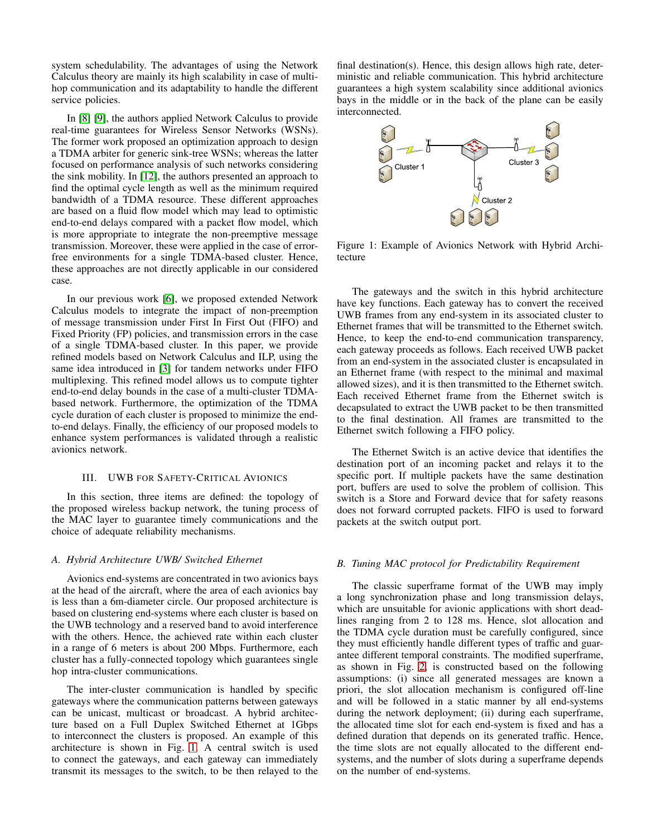system schedulability. The advantages of using the Network Calculus theory are mainly its high scalability in case of multihop communication and its adaptability to handle the different service policies.

In [\[8\]](#page-9-4) [\[9\]](#page-9-5), the authors applied Network Calculus to provide real-time guarantees for Wireless Sensor Networks (WSNs). The former work proposed an optimization approach to design a TDMA arbiter for generic sink-tree WSNs; whereas the latter focused on performance analysis of such networks considering the sink mobility. In [\[12\]](#page-9-6), the authors presented an approach to find the optimal cycle length as well as the minimum required bandwidth of a TDMA resource. These different approaches are based on a fluid flow model which may lead to optimistic end-to-end delays compared with a packet flow model, which is more appropriate to integrate the non-preemptive message transmission. Moreover, these were applied in the case of errorfree environments for a single TDMA-based cluster. Hence, these approaches are not directly applicable in our considered case.

In our previous work [\[6\]](#page-9-2), we proposed extended Network Calculus models to integrate the impact of non-preemption of message transmission under First In First Out (FIFO) and Fixed Priority (FP) policies, and transmission errors in the case of a single TDMA-based cluster. In this paper, we provide refined models based on Network Calculus and ILP, using the same idea introduced in [\[3\]](#page-9-7) for tandem networks under FIFO multiplexing. This refined model allows us to compute tighter end-to-end delay bounds in the case of a multi-cluster TDMAbased network. Furthermore, the optimization of the TDMA cycle duration of each cluster is proposed to minimize the endto-end delays. Finally, the efficiency of our proposed models to enhance system performances is validated through a realistic avionics network.

# III. UWB FOR SAFETY-CRITICAL AVIONICS

In this section, three items are defined: the topology of the proposed wireless backup network, the tuning process of the MAC layer to guarantee timely communications and the choice of adequate reliability mechanisms.

# *A. Hybrid Architecture UWB/ Switched Ethernet*

Avionics end-systems are concentrated in two avionics bays at the head of the aircraft, where the area of each avionics bay is less than a 6m-diameter circle. Our proposed architecture is based on clustering end-systems where each cluster is based on the UWB technology and a reserved band to avoid interference with the others. Hence, the achieved rate within each cluster in a range of 6 meters is about 200 Mbps. Furthermore, each cluster has a fully-connected topology which guarantees single hop intra-cluster communications.

The inter-cluster communication is handled by specific gateways where the communication patterns between gateways can be unicast, multicast or broadcast. A hybrid architecture based on a Full Duplex Switched Ethernet at 1Gbps to interconnect the clusters is proposed. An example of this architecture is shown in Fig. [1.](#page-2-0) A central switch is used to connect the gateways, and each gateway can immediately transmit its messages to the switch, to be then relayed to the final destination(s). Hence, this design allows high rate, deterministic and reliable communication. This hybrid architecture guarantees a high system scalability since additional avionics bays in the middle or in the back of the plane can be easily interconnected.

<span id="page-2-0"></span>

Figure 1: Example of Avionics Network with Hybrid Architecture

The gateways and the switch in this hybrid architecture have key functions. Each gateway has to convert the received UWB frames from any end-system in its associated cluster to Ethernet frames that will be transmitted to the Ethernet switch. Hence, to keep the end-to-end communication transparency, each gateway proceeds as follows. Each received UWB packet from an end-system in the associated cluster is encapsulated in an Ethernet frame (with respect to the minimal and maximal allowed sizes), and it is then transmitted to the Ethernet switch. Each received Ethernet frame from the Ethernet switch is decapsulated to extract the UWB packet to be then transmitted to the final destination. All frames are transmitted to the Ethernet switch following a FIFO policy.

The Ethernet Switch is an active device that identifies the destination port of an incoming packet and relays it to the specific port. If multiple packets have the same destination port, buffers are used to solve the problem of collision. This switch is a Store and Forward device that for safety reasons does not forward corrupted packets. FIFO is used to forward packets at the switch output port.

# *B. Tuning MAC protocol for Predictability Requirement*

The classic superframe format of the UWB may imply a long synchronization phase and long transmission delays, which are unsuitable for avionic applications with short deadlines ranging from 2 to 128 ms. Hence, slot allocation and the TDMA cycle duration must be carefully configured, since they must efficiently handle different types of traffic and guarantee different temporal constraints. The modified superframe, as shown in Fig. [2,](#page-3-0) is constructed based on the following assumptions: (i) since all generated messages are known a priori, the slot allocation mechanism is configured off-line and will be followed in a static manner by all end-systems during the network deployment; (ii) during each superframe, the allocated time slot for each end-system is fixed and has a defined duration that depends on its generated traffic. Hence, the time slots are not equally allocated to the different endsystems, and the number of slots during a superframe depends on the number of end-systems.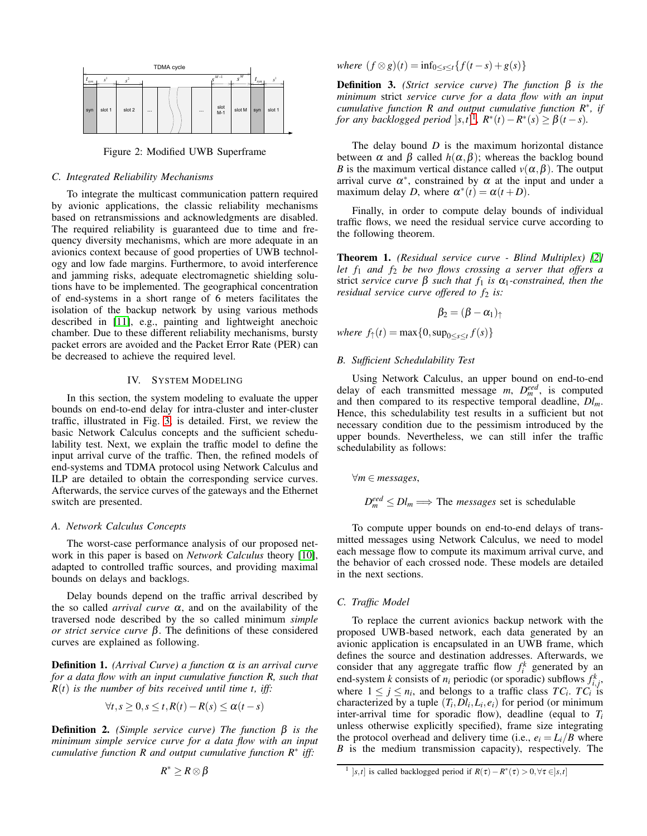<span id="page-3-0"></span>

Figure 2: Modified UWB Superframe

# <span id="page-3-3"></span>*C. Integrated Reliability Mechanisms*

To integrate the multicast communication pattern required by avionic applications, the classic reliability mechanisms based on retransmissions and acknowledgments are disabled. The required reliability is guaranteed due to time and frequency diversity mechanisms, which are more adequate in an avionics context because of good properties of UWB technology and low fade margins. Furthermore, to avoid interference and jamming risks, adequate electromagnetic shielding solutions have to be implemented. The geographical concentration of end-systems in a short range of 6 meters facilitates the isolation of the backup network by using various methods described in [\[11\]](#page-9-8), e.g., painting and lightweight anechoic chamber. Due to these different reliability mechanisms, bursty packet errors are avoided and the Packet Error Rate (PER) can be decreased to achieve the required level.

#### IV. SYSTEM MODELING

In this section, the system modeling to evaluate the upper bounds on end-to-end delay for intra-cluster and inter-cluster traffic, illustrated in Fig. [3,](#page-4-0) is detailed. First, we review the basic Network Calculus concepts and the sufficient schedulability test. Next, we explain the traffic model to define the input arrival curve of the traffic. Then, the refined models of end-systems and TDMA protocol using Network Calculus and ILP are detailed to obtain the corresponding service curves. Afterwards, the service curves of the gateways and the Ethernet switch are presented.

#### *A. Network Calculus Concepts*

The worst-case performance analysis of our proposed network in this paper is based on *Network Calculus* theory [\[10\]](#page-9-3), adapted to controlled traffic sources, and providing maximal bounds on delays and backlogs.

Delay bounds depend on the traffic arrival described by the so called *arrival curve*  $\alpha$ , and on the availability of the traversed node described by the so called minimum *simple or strict service curve*  $β$ . The definitions of these considered curves are explained as following.

**Definition 1.** *(Arrival Curve) a function* <sup>α</sup> *is an arrival curve for a data flow with an input cumulative function R, such that R*(*t*) *is the number of bits received until time t, iff:*

$$
\forall t, s \geq 0, s \leq t, R(t) - R(s) \leq \alpha(t - s)
$$

**Definition 2.** *(Simple service curve) The function* β *is the minimum simple service curve for a data flow with an input cumulative function R and output cumulative function R*<sup>∗</sup> *iff:*

$$
R^*\geq R\otimes\beta
$$

*where*  $(f \otimes g)(t) = \inf_{0 \le s \le t} \{f(t-s) + g(s)\}$ 

**Definition 3.** *(Strict service curve) The function* β *is the minimum* strict *service curve for a data flow with an input cumulative function R and output cumulative function R*<sup>∗</sup> *, if for any backlogged period*  $[s,t]^1$  $[s,t]^1$ ,  $R^*(t) - R^*(s) \ge \beta(t-s)$ .

The delay bound *D* is the maximum horizontal distance between  $\alpha$  and  $\beta$  called  $h(\alpha, \beta)$ ; whereas the backlog bound *B* is the maximum vertical distance called  $v(\alpha, \beta)$ . The output arrival curve  $\alpha^*$ , constrained by  $\alpha$  at the input and under a maximum delay *D*, where  $\alpha^*(t) = \alpha(t+D)$ .

Finally, in order to compute delay bounds of individual traffic flows, we need the residual service curve according to the following theorem.

<span id="page-3-2"></span>**Theorem 1.** *(Residual service curve - Blind Multiplex) [\[2\]](#page-9-9) let f*<sup>1</sup> *and f*<sup>2</sup> *be two flows crossing a server that offers a* strict *service curve*  $β$  *such that*  $f_1$  *is*  $α_1$ *-constrained, then the residual service curve offered to f<sub>2</sub> is:* 

$$
\beta_2=(\beta-\alpha_1)_\uparrow
$$

 $where f_{\uparrow}(t) = \max\{0, \sup_{0 \le s \le t} f(s)\}$ 

# *B. Sufficient Schedulability Test*

Using Network Calculus, an upper bound on end-to-end delay of each transmitted message  $m$ ,  $D_m^{eed}$ , is computed and then compared to its respective temporal deadline, *Dlm*. Hence, this schedulability test results in a sufficient but not necessary condition due to the pessimism introduced by the upper bounds. Nevertheless, we can still infer the traffic schedulability as follows:

∀*m* ∈ *messages*,

$$
D_m^{eed} \le Dl_m \Longrightarrow
$$
 The *messages* set is schedule

To compute upper bounds on end-to-end delays of transmitted messages using Network Calculus, we need to model each message flow to compute its maximum arrival curve, and the behavior of each crossed node. These models are detailed in the next sections.

# *C. Traffic Model*

To replace the current avionics backup network with the proposed UWB-based network, each data generated by an avionic application is encapsulated in an UWB frame, which defines the source and destination addresses. Afterwards, we consider that any aggregate traffic flow  $f_i^k$  generated by an end-system *k* consists of  $n_i$  periodic (or sporadic) subflows  $f_{i,j}^k$ , where  $1 \leq j \leq n_i$ , and belongs to a traffic class  $TC_i$ .  $TC_i$  is characterized by a tuple  $(T_i, D_l, L_i, e_i)$  for period (or minimum inter-arrival time for sporadic flow), deadline (equal to *T<sup>i</sup>* unless otherwise explicitly specified), frame size integrating the protocol overhead and delivery time (i.e.,  $e_i = L_i/B$  where *B* is the medium transmission capacity), respectively. The

<span id="page-3-1"></span><sup>&</sup>lt;sup>1</sup> [s,*t*] is called backlogged period if  $R(\tau) - R^*(\tau) > 0, \forall \tau \in ]s,t]$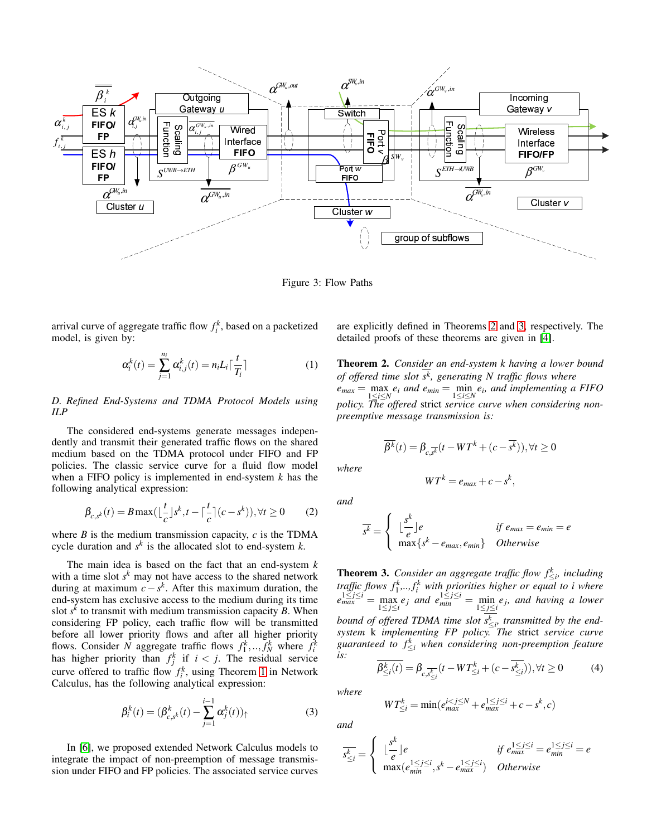<span id="page-4-0"></span>

Figure 3: Flow Paths

arrival curve of aggregate traffic flow  $f_i^k$ , based on a packetized model, is given by:

<span id="page-4-3"></span>
$$
\alpha_i^k(t) = \sum_{j=1}^{n_i} \alpha_{i,j}^k(t) = n_i L_i \lceil \frac{t}{T_i} \rceil \tag{1}
$$

# *D. Refined End-Systems and TDMA Protocol Models using ILP*

The considered end-systems generate messages independently and transmit their generated traffic flows on the shared medium based on the TDMA protocol under FIFO and FP policies. The classic service curve for a fluid flow model when a FIFO policy is implemented in end-system *k* has the following analytical expression:

$$
\beta_{c,s^k}(t) = B \max\left(\left\lfloor\frac{t}{c}\right\rfloor s^k, t - \left\lceil\frac{t}{c}\right\rceil (c - s^k)\right), \forall t \ge 0 \tag{2}
$$

where  $B$  is the medium transmission capacity,  $c$  is the TDMA cycle duration and  $s^k$  is the allocated slot to end-system  $k$ .

The main idea is based on the fact that an end-system *k* with a time slot  $s^k$  may not have access to the shared network during at maximum  $c - s^k$ . After this maximum duration, the end-system has exclusive access to the medium during its time slot  $s^k$  to transmit with medium transmission capacity  $B$ . When considering FP policy, each traffic flow will be transmitted before all lower priority flows and after all higher priority flows. Consider  $\tilde{N}$  aggregate traffic flows  $f_1^k, \ldots, f_N^k$  where  $f_i^k$ has higher priority than  $f_j^k$  if  $i < j$ . The residual service curve offered to traffic flow  $f_i^k$ , using Theorem [1](#page-3-2) in Network Calculus, has the following analytical expression:

$$
\beta_i^k(t) = (\beta_{c,s^k}^k(t) - \sum_{j=1}^{i-1} \alpha_j^k(t))_{\uparrow}
$$
 (3)

In [\[6\]](#page-9-2), we proposed extended Network Calculus models to integrate the impact of non-preemption of message transmission under FIFO and FP policies. The associated service curves

are explicitly defined in Theorems [2](#page-4-1) and [3,](#page-4-2) respectively. The detailed proofs of these theorems are given in [\[4\]](#page-9-10).

<span id="page-4-1"></span>**Theorem 2.** *Consider an end-system k having a lower bound of offered time slot s k , generating N traffic flows where*  $e_{max} = \max_{1 \leq i \leq N} e_i$  and  $e_{min} = \min_{1 \leq i \leq N} e_i$ , and implementing a FIFO *policy. The offered* strict *service curve when considering nonpreemptive message transmission is:*

$$
\overline{\beta^k}(t) = \beta_{c,\overline{s^k}}(t - WT^k + (c - \overline{s^k})), \forall t \ge 0
$$

 $WT^k = e_{max} + c - s^k,$ 

*where*

*and*

$$
\overline{s^k} = \begin{cases} \n\frac{s^k}{e} e & \text{if } e_{max} = e_{min} = e \\ \n\max\{s^k - e_{max}, e_{min}\} & \text{Otherwise} \n\end{cases}
$$

<span id="page-4-2"></span>**Theorem 3.** *Consider an aggregate traffic flow*  $f_{\leq i}^k$ , *including traffic flows*  $f_1^k$ *...,* $f_i^k$  *with priorities higher or equal to i where*  $e^{\frac{1}{2} \leq j \leq i}_{max} = \max_{1 \leq j \leq i} e_j$  *and*  $e^{\frac{1}{2} \leq j \leq i}_{min} = \min_{1 \leq j \leq i} e_j$ *, and having a lower bound of offered TDMA time slot*  $s_{\leq i}^k$ , *transmitted by the endsystem* k *implementing FP policy. The* strict *service curve guaranteed to f <sup>k</sup>* <sup>≤</sup>*<sup>i</sup> when considering non-preemption feature is:*

$$
\overline{\beta_{\leq i}^k(t)} = \beta_{c,\overline{s_{\leq i}^k}}(t - WT_{\leq i}^k + (c - \overline{s_{\leq i}^k})), \forall t \geq 0 \tag{4}
$$

*where*

$$
WT_{\leq i}^k = \min(e_{\text{max}}^{i < j \leq N} + e_{\text{max}}^{1 \leq j \leq i} + c - s^k, c)
$$

*and*

$$
\overline{s_{\leq i}^k} = \begin{cases}\n\lfloor \frac{s^k}{e} \rfloor e & \text{if } e_{\text{max}}^{\lfloor \leq j \leq i \rfloor} = e_{\text{min}}^{\lfloor \leq j \leq i \rfloor} = e_{\text{max}}^{\lfloor \leq j \leq i \rfloor} \\
\max(e_{\text{min}}^{\lfloor \leq j \leq i \rfloor}, s^k - e_{\text{max}}^{\lfloor \leq j \leq i \rfloor}) & \text{Otherwise}\n\end{cases}
$$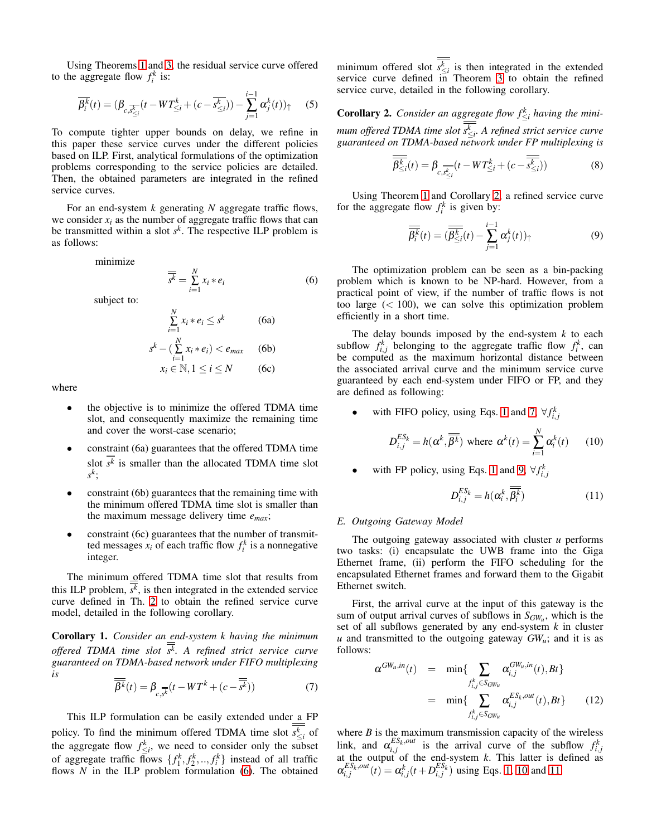Using Theorems [1](#page-3-2) and [3,](#page-4-2) the residual service curve offered to the aggregate flow  $f_i^k$  is:

$$
\overline{\beta_i^k}(t) = (\beta_{c,\overline{s_{\leq i}^k}}(t - WT_{\leq i}^k + (c - \overline{s_{\leq i}^k})) - \sum_{j=1}^{i-1} \alpha_j^k(t))_{\uparrow} \tag{5}
$$

To compute tighter upper bounds on delay, we refine in this paper these service curves under the different policies based on ILP. First, analytical formulations of the optimization problems corresponding to the service policies are detailed. Then, the obtained parameters are integrated in the refined service curves.

For an end-system *k* generating *N* aggregate traffic flows, we consider  $x_i$  as the number of aggregate traffic flows that can be transmitted within a slot  $s^k$ . The respective ILP problem is as follows:

<span id="page-5-0"></span>minimize

$$
\overline{\overline{s^k}} = \sum_{i=1}^{N} x_i * e_i
$$
 (6)  
subject to:

$$
\sum_{i=1}^{N} x_i * e_i \leq s^k
$$
 (6a)  

$$
s^k - (\sum_{i=1}^{N} x_i * e_i) < e_{max}
$$
 (6b)  

$$
x_i \in \mathbb{N}, 1 \leq i \leq N
$$
 (6c)

where

- the objective is to minimize the offered TDMA time slot, and consequently maximize the remaining time and cover the worst-case scenario;
- constraint (6a) guarantees that the offered TDMA time slot  $s^k$  is smaller than the allocated TDMA time slot *s k* ;
- constraint (6b) guarantees that the remaining time with the minimum offered TDMA time slot is smaller than the maximum message delivery time *emax*;
- constraint (6c) guarantees that the number of transmitted messages  $x_i$  of each traffic flow  $f_i^k$  is a nonnegative integer.

The minimum $_{\text{eff}}$  results from this ILP problem,  $s^k$ , is then integrated in the extended service curve defined in Th. [2](#page-4-1) to obtain the refined service curve model, detailed in the following corollary.

<span id="page-5-2"></span>**Corollary 1.** *Consider an end-system k having the minimum offered TDMA time slot s k . A refined strict service curve guaranteed on TDMA-based network under FIFO multiplexing is*

$$
\overline{\overline{\beta^k}}(t) = \beta_{c,\overline{s^k}}(t - WT^k + (c - \overline{\overline{s^k}}))
$$
\n(7)

This ILP formulation can be easily extended under a FP policy. To find the minimum offered TDMA time slot  $s^k_{\leq i}$  of the aggregate flow  $f_{\leq i}^k$ , we need to consider only the subset of aggregate traffic flows  $\{f_1^k, f_2^k, ..., f_i^k\}$  instead of all traffic flows *N* in the ILP problem formulation [\(6\)](#page-5-0). The obtained

minimum offered slot  $s^k_{\leq i}$  is then integrated in the extended service curve defined in Theorem [3](#page-4-2) to obtain the refined service curve, detailed in the following corollary.

**Corollary 2.** *Consider an aggregate flow*  $f_{\leq i}^k$  *having the minimum offered TDMA time slot s k* ≤*i . A refined strict service curve guaranteed on TDMA-based network under FP multiplexing is*

<span id="page-5-1"></span>
$$
\overline{\overline{\beta_{\leq i}^k}}(t) = \beta_{\overline{c,\overline{\beta_{\leq i}^k}}}(t - WT_{\leq i}^k + (c - \overline{\overline{s_{\leq i}^k}}))
$$
(8)

Using Theorem [1](#page-3-2) and Corollary [2,](#page-5-1) a refined service curve for the aggregate flow  $f_i^k$  is given by:

<span id="page-5-3"></span>
$$
\overline{\overline{\beta_i^k}}(t) = (\overline{\overline{\beta_{\leq i}^k}}(t) - \sum_{j=1}^{i-1} \alpha_j^k(t))_{\uparrow}
$$
 (9)

The optimization problem can be seen as a bin-packing problem which is known to be NP-hard. However, from a practical point of view, if the number of traffic flows is not too large  $(< 100)$ , we can solve this optimization problem efficiently in a short time.

The delay bounds imposed by the end-system *k* to each subflow  $f_{i,j}^k$  belonging to the aggregate traffic flow  $f_i^k$ , can be computed as the maximum horizontal distance between the associated arrival curve and the minimum service curve guaranteed by each end-system under FIFO or FP, and they are defined as following:

• with FIFO policy, using Eqs. [1](#page-4-3) and [7,](#page-5-2)  $\forall f_{i,j}^k$ 

$$
D_{i,j}^{ES_k} = h(\alpha^k, \overline{\overline{\beta^k}}) \text{ where } \alpha^k(t) = \sum_{i=1}^N \alpha_i^k(t) \qquad (10)
$$

• with FP policy, using Eqs. [1](#page-4-3) and [9,](#page-5-3)  $\forall f_{i,j}^k$ 

<span id="page-5-5"></span><span id="page-5-4"></span>
$$
D_{i,j}^{ES_k} = h(\alpha_i^k, \overline{\overline{\beta_i^k}})
$$
\n(11)

# *E. Outgoing Gateway Model*

The outgoing gateway associated with cluster *u* performs two tasks: (i) encapsulate the UWB frame into the Giga Ethernet frame, (ii) perform the FIFO scheduling for the encapsulated Ethernet frames and forward them to the Gigabit Ethernet switch.

First, the arrival curve at the input of this gateway is the sum of output arrival curves of subflows in  $S_{GW_u}$ , which is the set of all subflows generated by any end-system *k* in cluster  $u$  and transmitted to the outgoing gateway  $GW_u$ ; and it is as follows:

<span id="page-5-6"></span>
$$
\alpha^{GW_u, in}(t) = \min \{ \sum_{f_{i,j}^k \in S_{GW_u}} \alpha_{i,j}^{GW_u, in}(t), Bt \}
$$

$$
= \min \{ \sum_{f_{i,j}^k \in S_{GW_u}} \alpha_{i,j}^{ES_k, out}(t), Bt \}
$$
(12)

where  $B$  is the maximum transmission capacity of the wireless link, and  $\alpha_{i,i}^{ES_k,out}$ link, and  $\alpha_{i,j}^{ES_k,out}$  is the arrival curve of the subflow  $f_{i,j}^k$  at the output of the end-system *k*. This latter is defined as  $\alpha_1^{ES_k,out}$  $\frac{ES_k,out}{E_k}$  (*t*) =  $\alpha_{i,j}^k(t+D_{i,j}^{ES_k})$  using Eqs. [1,](#page-4-3) [10](#page-5-4) and [11.](#page-5-5)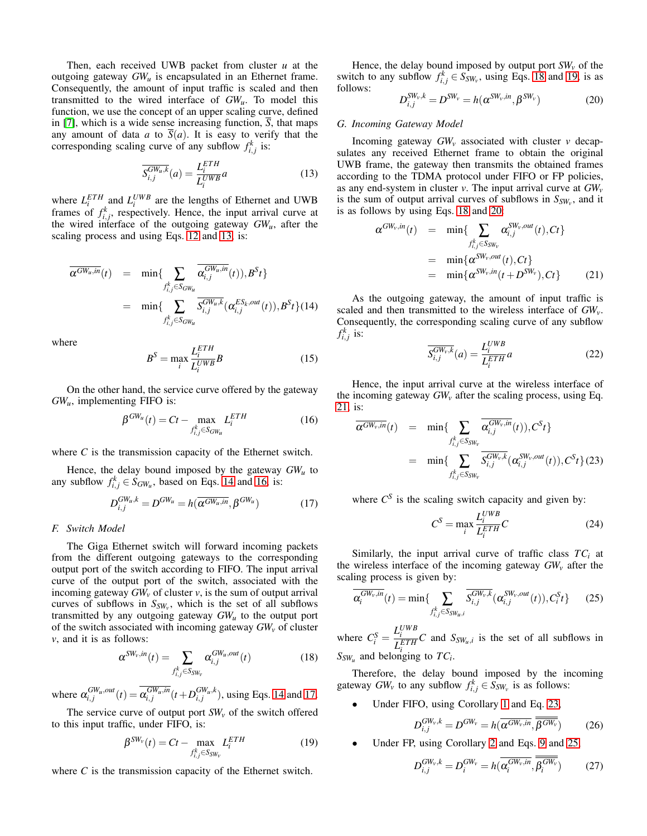Then, each received UWB packet from cluster *u* at the outgoing gateway *GW<sup>u</sup>* is encapsulated in an Ethernet frame. Consequently, the amount of input traffic is scaled and then transmitted to the wired interface of  $GW<sub>u</sub>$ . To model this function, we use the concept of an upper scaling curve, defined in [\[7\]](#page-9-11), which is a wide sense increasing function,  $\overline{S}$ , that maps any amount of data *a* to  $\overline{S}(a)$ . It is easy to verify that the corresponding scaling curve of any subflow  $f_{i,j}^k$  is:

$$
\overline{S_{i,j}^{GW_u,k}}(a) = \frac{L_i^{ETH}}{L_i^{UWB}}a\tag{13}
$$

where  $L_i^{ETH}$  and  $L_i^{UWB}$  are the lengths of Ethernet and UWB frames of  $f_{i,j}^k$ , respectively. Hence, the input arrival curve at the wired interface of the outgoing gateway *GWu*, after the scaling process and using Eqs. [12](#page-5-6) and [13,](#page-6-0) is:

<span id="page-6-1"></span>
$$
\overline{\alpha^{GW_u, in}}(t) = \min \{ \sum_{\substack{f_{i,j}^k \in S_{GW_u} \\ f_{i,j}^k \in S_{GW_u}}} \overline{\alpha_{i,j}^{GW_u, in}}(t)), B^S t \}
$$
\n
$$
= \min \{ \sum_{f_{i,j}^k \in S_{GW_u}} \overline{S_{i,j}^{GW_u, k}}(\alpha_{i,j}^{ES_k,out}(t)), B^S t \} (14)
$$

where

<span id="page-6-2"></span>
$$
B^{S} = \max_{i} \frac{L_{i}^{ETH}}{L_{i}^{UWB}} B \tag{15}
$$

On the other hand, the service curve offered by the gateway *GWu*, implementing FIFO is:

$$
\beta^{GW_u}(t) = Ct - \max_{f_{i,j}^k \in S_{GW_u}} L_i^{ETH} \tag{16}
$$

where *C* is the transmission capacity of the Ethernet switch.

Hence, the delay bound imposed by the gateway *GW<sup>u</sup>* to any subflow  $f_{i,j}^k \in S_{GW_u}$ , based on Eqs. [14](#page-6-1) and [16,](#page-6-2) is:

$$
D_{i,j}^{GW_u,k} = D^{GW_u} = h(\overline{\alpha^{GW_u, in}}, \beta^{GW_u})
$$
\n(17)

#### *F. Switch Model*

The Giga Ethernet switch will forward incoming packets from the different outgoing gateways to the corresponding output port of the switch according to FIFO. The input arrival curve of the output port of the switch, associated with the incoming gateway *GW<sup>v</sup>* of cluster *v*, is the sum of output arrival curves of subflows in *SSW<sup>v</sup>* , which is the set of all subflows transmitted by any outgoing gateway *GW<sup>u</sup>* to the output port of the switch associated with incoming gateway *GW<sup>v</sup>* of cluster *v*, and it is as follows:

<span id="page-6-4"></span>
$$
\alpha^{SW_v,in}(t) = \sum_{f_{i,j}^k \in S_{SW_v}} \alpha_{i,j}^{GW_u,out}(t)
$$
\n(18)

where  $\alpha_{i,j}^{GW_u, out}(t) = \alpha_{i,j}^{GW_u, in}(t + D_{i,j}^{GW_u,k})$ , using Eqs. [14](#page-6-1) and [17.](#page-6-3)

The service curve of output port  $SW<sub>v</sub>$  of the switch offered to this input traffic, under FIFO, is:

<span id="page-6-5"></span>
$$
\beta^{SW_v}(t) = Ct - \max_{f_{i,j}^k \in S_{SW_v}} L_i^{ETH}
$$
\n(19)

where *C* is the transmission capacity of the Ethernet switch.

Hence, the delay bound imposed by output port *SW<sup>v</sup>* of the switch to any subflow  $f_{i,j}^k \in S_{SW_v}$ , using Eqs. [18](#page-6-4) and [19,](#page-6-5) is as follows:

<span id="page-6-6"></span>
$$
D_{i,j}^{SW_v,k} = D^{SW_v} = h(\alpha^{SW_v,in}, \beta^{SW_v})
$$
 (20)

#### *G. Incoming Gateway Model*

<span id="page-6-0"></span>Incoming gateway *GW<sup>v</sup>* associated with cluster *v* decapsulates any received Ethernet frame to obtain the original UWB frame, the gateway then transmits the obtained frames according to the TDMA protocol under FIFO or FP policies, as any end-system in cluster *v*. The input arrival curve at *GW<sup>v</sup>* is the sum of output arrival curves of subflows in  $S_{SW_v}$ , and it is as follows by using Eqs. [18](#page-6-4) and [20:](#page-6-6)

<span id="page-6-7"></span>
$$
\alpha^{GW_v,in}(t) = \min\{\sum_{f_{i,j}^k \in S_{SW_v}} \alpha_{i,j}^{SW_v,out}(t), Ct\}
$$
  
= 
$$
\min\{\alpha^{SW_v,out}(t), Ct\}
$$
  
= 
$$
\min\{\alpha^{SW_v,in}(t+D^{SW_v})(Ct)\}
$$
 (21)

As the outgoing gateway, the amount of input traffic is scaled and then transmitted to the wireless interface of *GWv*. Consequently, the corresponding scaling curve of any subflow  $f_{i,j}^k$  is:

$$
\overline{S_{i,j}^{GW_v,k}}(a) = \frac{L_i^{UWB}}{L_i^{ETH}}a
$$
\n(22)

Hence, the input arrival curve at the wireless interface of the incoming gateway *GW<sup>v</sup>* after the scaling process, using Eq. [21,](#page-6-7) is:

<span id="page-6-8"></span>
$$
\overline{\alpha^{GW_v, in}}(t) = \min \{ \sum_{f_{i,j}^k \in S_{SW_v}} \overline{\alpha_{i,j}^{GW_v, in}}(t)), C^S t \}
$$
\n
$$
= \min \{ \sum_{f_{i,j}^k \in S_{SW_v}} \overline{S_{i,j}^{GW_v, k}}(\alpha_{i,j}^{SW_v, out}(t)), C^S t \} (23)
$$

<span id="page-6-3"></span>where  $C^S$  is the scaling switch capacity and given by:

<span id="page-6-9"></span>
$$
C^{S} = \max_{i} \frac{L_{i}^{UWB}}{L_{i}^{ETH}}C
$$
 (24)

Similarly, the input arrival curve of traffic class *TC<sup>i</sup>* at the wireless interface of the incoming gateway *GW<sup>v</sup>* after the scaling process is given by:

$$
\overline{\alpha_i^{GW_v, in}}(t) = \min\{\sum_{f_{i,j}^k \in S_{SW_u,i}} \overline{S_{i,j}^{GW_v,k}}(\alpha_{i,j}^{SW_v,out}(t)), C_i^S t\}
$$
 (25)

where  $C_i^S = \frac{L_i^{UWB}}{I^{ETH}}$  $\frac{L_i}{L_i^{ETH}}C$  and  $S_{SW_u,i}$  is the set of all subflows in  $S_{SW_u}$  and belonging to  $TC_i$ .

Therefore, the delay bound imposed by the incoming gateway  $GW_v$  to any subflow  $f_{i,j}^k \in \mathcal{S}_{SW_v}$  is as follows:

Under FIFO, using Corollary [1](#page-5-2) and Eq. [23,](#page-6-8)

<span id="page-6-11"></span><span id="page-6-10"></span>
$$
D_{i,j}^{GW_v,k} = D^{GW_v} = h(\overline{\alpha^{GW_v,in}}, \overline{\overline{\beta^{GW_v}}})
$$
 (26)

Under FP, using Corollary [2](#page-5-1) and Eqs. [9](#page-5-3) and [25,](#page-6-9)

$$
D_{i,j}^{GW_v,k} = D_i^{GW_v} = h(\overline{\alpha_i^{GW_v,in}}, \overline{\overline{\beta_i^{GW_v}}})
$$
 (27)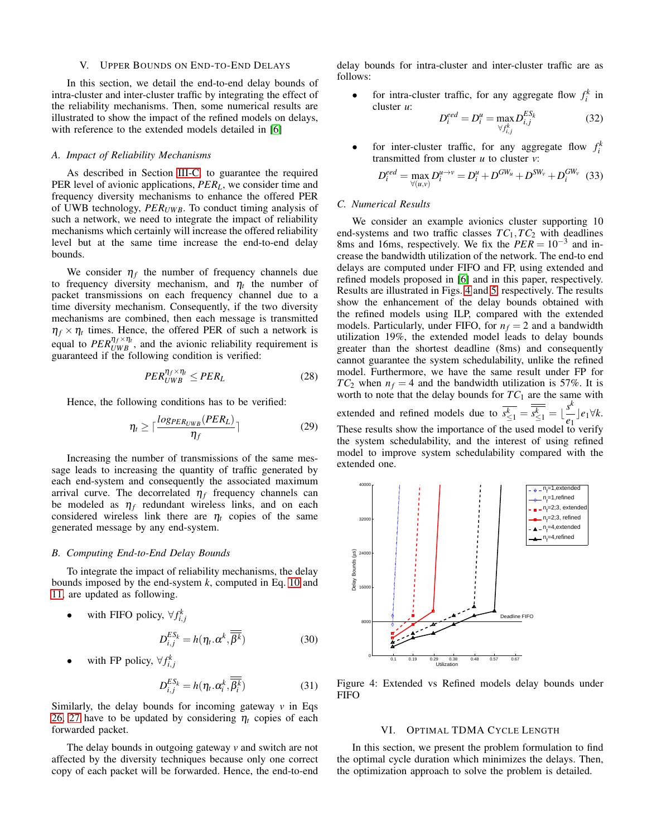# V. UPPER BOUNDS ON END-TO-END DELAYS

In this section, we detail the end-to-end delay bounds of intra-cluster and inter-cluster traffic by integrating the effect of the reliability mechanisms. Then, some numerical results are illustrated to show the impact of the refined models on delays, with reference to the extended models detailed in [\[6\]](#page-9-2)

#### *A. Impact of Reliability Mechanisms*

As described in Section [III-C,](#page-3-3) to guarantee the required PER level of avionic applications, *PERL*, we consider time and frequency diversity mechanisms to enhance the offered PER of UWB technology, *PERUW B*. To conduct timing analysis of such a network, we need to integrate the impact of reliability mechanisms which certainly will increase the offered reliability level but at the same time increase the end-to-end delay bounds.

We consider  $\eta_f$  the number of frequency channels due to frequency diversity mechanism, and  $\eta_t$  the number of packet transmissions on each frequency channel due to a time diversity mechanism. Consequently, if the two diversity mechanisms are combined, then each message is transmitted  $\eta_f \times \eta_t$  times. Hence, the offered PER of such a network is equal to  $PER_{UWB}^{\eta_f \times \eta_t}$ , and the avionic reliability requirement is guaranteed if the following condition is verified:

$$
PER_{UWB}^{\eta_f \times \eta_t} \le PER_L \tag{28}
$$

Hence, the following conditions has to be verified:

$$
\eta_t \ge \lceil \frac{log_{PER_{UWB}}(PER_L)}{\eta_f} \rceil \tag{29}
$$

Increasing the number of transmissions of the same message leads to increasing the quantity of traffic generated by each end-system and consequently the associated maximum arrival curve. The decorrelated  $\eta_f$  frequency channels can be modeled as  $\eta_f$  redundant wireless links, and on each considered wireless link there are  $\eta_t$  copies of the same generated message by any end-system.

#### *B. Computing End-to-End Delay Bounds*

To integrate the impact of reliability mechanisms, the delay bounds imposed by the end-system *k*, computed in Eq. [10](#page-5-4) and [11,](#page-5-5) are updated as following.

• with FIFO policy,  $\forall f_{i,j}^k$ 

$$
D_{i,j}^{ES_k} = h(\eta_t. \alpha^k, \overline{\overline{\beta^k}})
$$
\n(30)

• with FP policy,  $\forall f_{i,j}^k$ 

$$
D_{i,j}^{ES_k} = h(\eta_t. \alpha_i^k, \overline{\beta_i^k})
$$
\n(31)

Similarly, the delay bounds for incoming gateway *v* in Eqs [26,](#page-6-10) [27](#page-6-11) have to be updated by considering  $\eta_t$  copies of each forwarded packet.

The delay bounds in outgoing gateway *v* and switch are not affected by the diversity techniques because only one correct copy of each packet will be forwarded. Hence, the end-to-end

delay bounds for intra-cluster and inter-cluster traffic are as follows:

• for intra-cluster traffic, for any aggregate flow  $f_i^k$  in cluster *u*:

<span id="page-7-2"></span><span id="page-7-1"></span>
$$
D_i^{eed} = D_i^u = \max_{\forall j_{i,j}^k} D_{i,j}^{ES_k}
$$
(32)

• for inter-cluster traffic, for any aggregate flow  $f_i^k$ transmitted from cluster *u* to cluster *v*:

$$
D_i^{eed} = \max_{\forall (u,v)} D_i^{u \to v} = D_i^u + D^{GW_u} + D^{SW_v} + D_i^{GW_v}
$$
 (33)

# *C. Numerical Results*

We consider an example avionics cluster supporting 10 end-systems and two traffic classes  $TC_1, TC_2$  with deadlines 8ms and 16ms, respectively. We fix the  $PER = 10^{-3}$  and increase the bandwidth utilization of the network. The end-to end delays are computed under FIFO and FP, using extended and refined models proposed in [\[6\]](#page-9-2) and in this paper, respectively. Results are illustrated in Figs. [4](#page-7-0) and [5,](#page-8-0) respectively. The results show the enhancement of the delay bounds obtained with the refined models using ILP, compared with the extended models. Particularly, under FIFO, for  $n_f = 2$  and a bandwidth utilization 19%, the extended model leads to delay bounds greater than the shortest deadline (8ms) and consequently cannot guarantee the system schedulability, unlike the refined model. Furthermore, we have the same result under FP for  $TC_2$  when  $n_f = 4$  and the bandwidth utilization is 57%. It is worth to note that the delay bounds for  $TC_1$  are the same with extended and refined models due to  $\overline{s_{\leq 1}^k} = \overline{s_{\leq 1}^k} = \lfloor \frac{s^k}{s} \rfloor$  $\frac{e}{e_1}$  *e*<sub>1</sub>∀*k*. These results show the importance of the used model to verify the system schedulability, and the interest of using refined

model to improve system schedulability compared with the extended one.

<span id="page-7-0"></span>

Figure 4: Extended vs Refined models delay bounds under **FIFO** 

#### VI. OPTIMAL TDMA CYCLE LENGTH

In this section, we present the problem formulation to find the optimal cycle duration which minimizes the delays. Then, the optimization approach to solve the problem is detailed.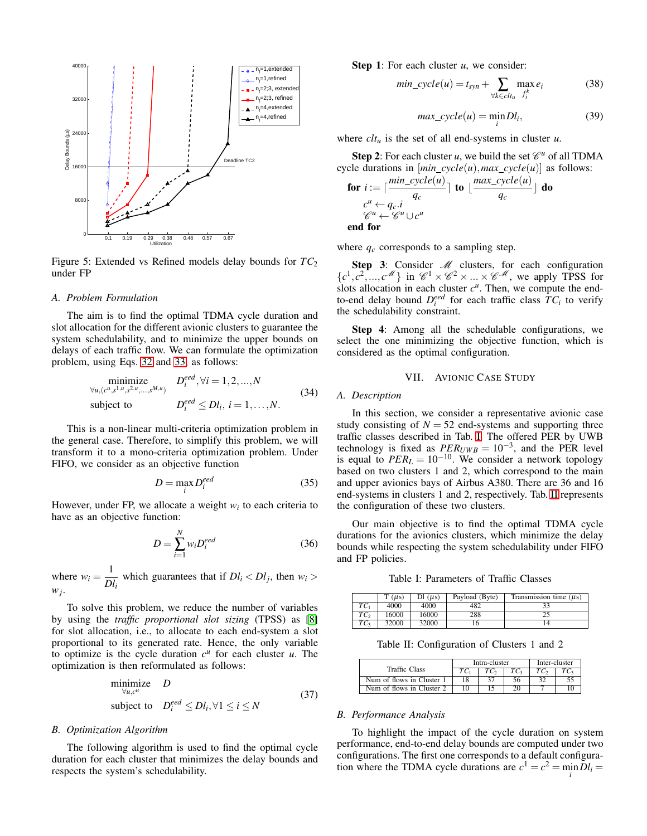<span id="page-8-0"></span>

Figure 5: Extended vs Refined models delay bounds for *TC*<sup>2</sup> under FP

#### *A. Problem Formulation*

The aim is to find the optimal TDMA cycle duration and slot allocation for the different avionic clusters to guarantee the system schedulability, and to minimize the upper bounds on delays of each traffic flow. We can formulate the optimization problem, using Eqs. [32](#page-7-1) and [33,](#page-7-2) as follows:

minimize  
\n
$$
\sum_{\forall u, (c^u, s^{1,u}, s^{2,u}, ..., s^{M,u})} D_i^{eed}, \forall i = 1, 2, ..., N
$$
\nsubject to  
\n
$$
D_i^{eed} \le Dl_i, i = 1, ..., N.
$$
\n(34)

This is a non-linear multi-criteria optimization problem in the general case. Therefore, to simplify this problem, we will transform it to a mono-criteria optimization problem. Under FIFO, we consider as an objective function

$$
D = \max_{i} D_i^{eed} \tag{35}
$$

However, under FP, we allocate a weight *w<sup>i</sup>* to each criteria to have as an objective function:

$$
D = \sum_{i=1}^{N} w_i D_i^{eed}
$$
 (36)

where  $w_i = \frac{1}{D^i}$  $\frac{1}{Dl_i}$  which guarantees that if  $Dl_i < Dl_j$ , then  $w_i >$ *wj* .

To solve this problem, we reduce the number of variables by using the *traffic proportional slot sizing* (TPSS) as [\[8\]](#page-9-4) for slot allocation, i.e., to allocate to each end-system a slot proportional to its generated rate. Hence, the only variable to optimize is the cycle duration  $c^u$  for each cluster  $u$ . The optimization is then reformulated as follows:

$$
\begin{array}{ll}\text{minimize} & D\\ \forall u, c^u\\ \text{subject to} & D_i^{eed} \le Dl_i, \forall 1 \le i \le N \end{array} \tag{37}
$$

# <span id="page-8-3"></span>*B. Optimization Algorithm*

The following algorithm is used to find the optimal cycle duration for each cluster that minimizes the delay bounds and respects the system's schedulability.

**Step 1**: For each cluster *u*, we consider:

$$
min\_cycle(u) = t_{syn} + \sum_{\forall k \in clt_u} \max_{f_i^k} e_i \tag{38}
$$

$$
max\_cycle(u) = \min_{i} Dl_i,
$$
 (39)

where  $clt<sub>u</sub>$  is the set of all end-systems in cluster  $u$ .

**Step 2:** For each cluster *u*, we build the set  $\mathcal{C}^u$  of all TDMA cycle durations in  $[min\_cycle(u), max\_cycle(u)]$  as follows:

$$
\begin{array}{l}\n\text{for } i := \lceil \frac{\text{min\_cycle}(u)}{q_c} \rceil \text{ to } \lfloor \frac{\text{max\_cycle}(u)}{q_c} \rfloor \text{ do} \\
\frac{c^u \leftarrow q_c \cdot i}{\mathscr{C}^u \leftarrow \mathscr{C}^u \cup c^u} \\
\text{end for}\n\end{array}
$$

where  $q_c$  corresponds to a sampling step.

Step 3: Consider M clusters, for each configuration  ${c^1, c^2, ..., c^M}$  in  $\mathscr{C}^1 \times \mathscr{C}^2 \times ... \times \mathscr{C}^M$ , we apply TPSS for slots allocation in each cluster  $c<sup>u</sup>$ . Then, we compute the endto-end delay bound  $D_i^{eed}$  for each traffic class  $TC_i$  to verify the schedulability constraint.

**Step 4**: Among all the schedulable configurations, we select the one minimizing the objective function, which is considered as the optimal configuration.

# VII. AVIONIC CASE STUDY

#### *A. Description*

In this section, we consider a representative avionic case study consisting of  $N = 52$  end-systems and supporting three traffic classes described in Tab. [I.](#page-8-1) The offered PER by UWB technology is fixed as  $PER_{UWB} = 10^{-3}$ , and the PER level is equal to  $PER<sub>L</sub> = 10<sup>-10</sup>$ . We consider a network topology based on two clusters 1 and 2, which correspond to the main and upper avionics bays of Airbus A380. There are 36 and 16 end-systems in clusters 1 and 2, respectively. Tab. [II](#page-8-2) represents the configuration of these two clusters.

<span id="page-8-1"></span>Our main objective is to find the optimal TDMA cycle durations for the avionics clusters, which minimize the delay bounds while respecting the system schedulability under FIFO and FP policies.

Table I: Parameters of Traffic Classes

<span id="page-8-2"></span>

|                 | $T(\mu s)$ | DI (us) | Payload (Byte) | Transmission time $(\mu s)$ |
|-----------------|------------|---------|----------------|-----------------------------|
| $TC_1$          | 4000       | 4000    | 482            |                             |
| TC <sub>2</sub> | 16000      | 16000   | 288            |                             |
| $TC_3$          | 32000      | 32000   |                |                             |

Table II: Configuration of Clusters 1 and 2

|                           |        | Intra-cluster | Inter-cluster |          |     |
|---------------------------|--------|---------------|---------------|----------|-----|
| <b>Traffic Class</b>      | $TC_1$ | TC2           | TC2           | $TC_{2}$ | TC2 |
| Num of flows in Cluster 1 |        | 37            |               |          |     |
| Num of flows in Cluster 2 |        |               | 20            |          |     |

#### *B. Performance Analysis*

To highlight the impact of the cycle duration on system performance, end-to-end delay bounds are computed under two configurations. The first one corresponds to a default configuration where the TDMA cycle durations are  $c^1 = c^2 = \min_i Dl_i =$